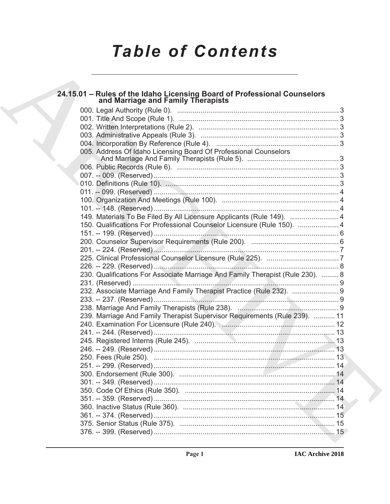# **Table of Contents**

## 24.15.01 - Rules of the Idaho Licensing Board of Professional Counselors<br>and Marriage and Family Therapists

| 005. Address Of Idaho Licensing Board Of Professional Counselors                                               |  |
|----------------------------------------------------------------------------------------------------------------|--|
|                                                                                                                |  |
|                                                                                                                |  |
|                                                                                                                |  |
|                                                                                                                |  |
|                                                                                                                |  |
|                                                                                                                |  |
|                                                                                                                |  |
| 149. Materials To Be Filed By All Licensure Applicants (Rule 149).  4                                          |  |
| 150. Qualifications For Professional Counselor Licensure (Rule 150).  4                                        |  |
|                                                                                                                |  |
|                                                                                                                |  |
|                                                                                                                |  |
|                                                                                                                |  |
|                                                                                                                |  |
| 230. Qualifications For Associate Marriage And Family Therapist (Rule 230).  8                                 |  |
|                                                                                                                |  |
| 232. Associate Marriage And Family Therapist Practice (Rule 232).  9                                           |  |
|                                                                                                                |  |
|                                                                                                                |  |
| 239. Marriage And Family Therapist Supervisor Requirements (Rule 239).  11                                     |  |
| 240. Examination For Licensure (Rule 240). 2000. 2000. 2000. 2010. 2010. 2010. 2010. 2010. 2010. 2010. 2010. 2 |  |
|                                                                                                                |  |
|                                                                                                                |  |
|                                                                                                                |  |
|                                                                                                                |  |
|                                                                                                                |  |
|                                                                                                                |  |
|                                                                                                                |  |
|                                                                                                                |  |
|                                                                                                                |  |
|                                                                                                                |  |
|                                                                                                                |  |
|                                                                                                                |  |
|                                                                                                                |  |
|                                                                                                                |  |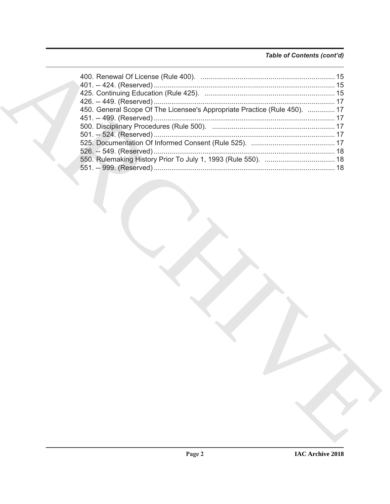### Table of Contents (cont'd)

| 450. General Scope Of The Licensee's Appropriate Practice (Rule 450).  17 |  |
|---------------------------------------------------------------------------|--|
|                                                                           |  |
|                                                                           |  |
|                                                                           |  |
|                                                                           |  |
|                                                                           |  |
|                                                                           |  |
|                                                                           |  |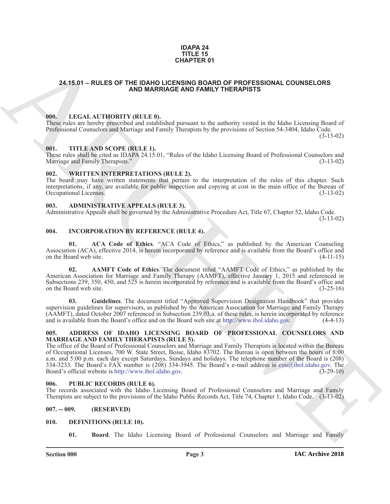### **IDAPA 24 TITLE 15 CHAPTER 01**

### <span id="page-2-0"></span>**24.15.01 – RULES OF THE IDAHO LICENSING BOARD OF PROFESSIONAL COUNSELORS AND MARRIAGE AND FAMILY THERAPISTS**

### <span id="page-2-15"></span><span id="page-2-1"></span>**000. LEGAL AUTHORITY (RULE 0).**

These rules are hereby prescribed and established pursuant to the authority vested in the Idaho Licensing Board of Professional Counselors and Marriage and Family Therapists by the provisions of Section 54-3404, Idaho Code. (3-13-02)

### <span id="page-2-17"></span><span id="page-2-2"></span>**001. TITLE AND SCOPE (RULE 1).**

These rules shall be cited as IDAPA 24.15.01, "Rules of the Idaho Licensing Board of Professional Counselors and Marriage and Family Therapists." (3-13-02) Marriage and Family Therapists."

### <span id="page-2-18"></span><span id="page-2-3"></span>**002. WRITTEN INTERPRETATIONS (RULE 2).**

The board may have written statements that pertain to the interpretation of the rules of this chapter. Such interpretations, if any, are available for public inspection and copying at cost in the main office of the Bureau of Occupational Licenses. (3-13-02)

### <span id="page-2-11"></span><span id="page-2-4"></span>**003. ADMINISTRATIVE APPEALS (RULE 3).**

Administrative Appeals shall be governed by the Administrative Procedure Act, Title 67, Chapter 52, Idaho Code.

(3-13-02)

### <span id="page-2-14"></span><span id="page-2-5"></span>**004. INCORPORATION BY REFERENCE (RULE 4).**

**01. ACA Code of Ethics**. "ACA Code of Ethics," as published by the American Counseling Association (ACA), effective 2014, is herein incorporated by reference and is available from the Board's office and on the Board web site. (4-11-15)

**02. AAMFT Code of Ethics**. The document titled "AAMFT Code of Ethics," as published by the American Association for Marriage and Family Therapy (AAMFT), effective January 1, 2015 and referenced in Subsections 239, 350, 450, and 525 is herein incorporated by reference and is available from the Board's office and on the Board web site. (3-25-16)

**03. Guidelines**. The document titled "Approved Supervision Designation Handbook" that provides supervision guidelines for supervisors, as published by the American Association for Marriage and Family Therapy (AAMFT), dated October 2007 referenced in Subsection 239.03.a. of these rules, is herein incorporated by reference and is available from the Board's office and on the Board web site at http://www.ibol.idaho.gov. (4-4-13)

### <span id="page-2-10"></span><span id="page-2-6"></span>**005. ADDRESS OF IDAHO LICENSING BOARD OF PROFESSIONAL COUNSELORS AND MARRIAGE AND FAMILY THERAPISTS (RULE 5).**

**CHAPT[E](mailto:cou@ibol.idaho.gov)R OF**<br>
24.15.01 – RULES OF THE DAHO MARRIAGE AND FAMILY HYPERAPYSTS<br>
100. IFC.A1 AITHORITY (EU.I.E.O.)<br>
ARC[HIV](http://www.ibol.idaho.gov)ERED AND DRIVIER COMPRODUCTION (EU.I.E.O.)<br>
100. IFC.A1 AITHORITY (EU.I.E.O.)<br>
100. IFC.A1 AITHORITY (EU The office of the Board of Professional Counselors and Marriage and Family Therapists is located within the Bureau of Occupational Licenses, 700 W. State Street, Boise, Idaho 83702. The Bureau is open between the hours of 8:00 a.m. and 5:00 p.m. each day except Saturdays, Sundays and holidays. The telephone number of the Board is (208) 334-3233. The Board's FAX number is (208) 334-3945. The Board's e-mail address is cou@ibol.idaho.gov. The Board's official website is http://www.ibol.idaho.gov.

### <span id="page-2-16"></span><span id="page-2-7"></span>**006. PUBLIC RECORDS (RULE 6).**

The records associated with the Idaho Licensing Board of Professional Counselors and Marriage and Family Therapists are subject to the provisions of the Idaho Public Records Act, Title 74, Chapter 1, Idaho Code. (3-13-02)

### <span id="page-2-8"></span>**007. -- 009. (RESERVED)**

### <span id="page-2-9"></span>**010. DEFINITIONS (RULE 10).**

<span id="page-2-13"></span><span id="page-2-12"></span>**01. Board**. The Idaho Licensing Board of Professional Counselors and Marriage and Family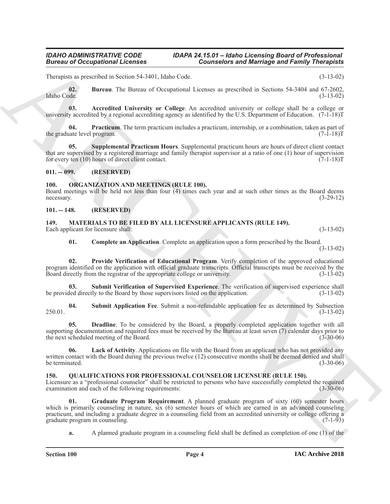Therapists as prescribed in Section 54-3401, Idaho Code. (3-13-02)

<span id="page-3-6"></span>**02. Bureau**. The Bureau of Occupational Licenses as prescribed in Sections 54-3404 and 67-2602, Idaho Code. (3-13-02)

<span id="page-3-5"></span>**03. Accredited University or College**. An accredited university or college shall be a college or university accredited by a regional accrediting agency as identified by the U.S. Department of Education. (7-1-18)T

<span id="page-3-7"></span>**04. Practicum**. The term practicum includes a practicum, internship, or a combination, taken as part of the graduate level program. (7-1-18)T

<span id="page-3-8"></span>**05. Supplemental Practicum Hours**. Supplemental practicum hours are hours of direct client contact that are supervised by a registered marriage and family therapist supervisor at a ratio of one (1) hour of supervision for every ten (10) hours of direct client contact. (7-1-18)T

### <span id="page-3-0"></span>**011. -- 099. (RESERVED)**

### <span id="page-3-16"></span><span id="page-3-1"></span>**100. ORGANIZATION AND MEETINGS (RULE 100).**

Board meetings will be held not less than four (4) times each year and at such other times as the Board deems necessary. (3-29-12)

<span id="page-3-9"></span><span id="page-3-2"></span>**101. -- 148. (RESERVED)**

<span id="page-3-3"></span>**149. MATERIALS TO BE FILED BY ALL LICENSURE APPLICANTS (RULE 149).** Each applicant for licensure shall: (3-13-02) (3-13-02)

<span id="page-3-13"></span><span id="page-3-10"></span>**01. Complete an Application**. Complete an application upon a form prescribed by the Board. (3-13-02)

**02. Provide Verification of Educational Program**. Verify completion of the approved educational program identified on the application with official graduate transcripts. Official transcripts must be received by the Board directly from the registrar of the appropriate college or university. (3-13-02) Board directly from the registrar of the appropriate college or university.

<span id="page-3-15"></span>**03.** Submit Verification of Supervised Experience. The verification of supervised experience shall led directly to the Board by those supervisors listed on the application. (3-13-02) be provided directly to the Board by those supervisors listed on the application.

<span id="page-3-14"></span>**04. Submit Application Fee**. Submit a non-refundable application fee as determined by Subsection 250.01. (3-13-02)

<span id="page-3-11"></span>**05. Deadline**. To be considered by the Board, a properly completed application together with all supporting documentation and required fees must be received by the Bureau at least seven (7) calendar days prior to the next scheduled meeting of the Board. (3-30-06)

<span id="page-3-12"></span>**06. Lack of Activity**. Applications on file with the Board from an applicant who has not provided any written contact with the Board during the previous twelve (12) consecutive months shall be deemed denied and shall<br>(3-30-06) be terminated.

### <span id="page-3-17"></span><span id="page-3-4"></span>**150. QUALIFICATIONS FOR PROFESSIONAL COUNSELOR LICENSURE (RULE 150).**

Licensure as a "professional counselor" shall be restricted to persons who have successfully completed the required examination and each of the following requirements: examination and each of the following requirements:

**Example 50 Comparisons I. Consistents 200 Consistents and Marriage and Fairing Theoretical<br>
Lineary and Society 2002. However, the comparison of the consistent of the system of the system of the consistent of the consist Graduate Program Requirement**. A planned graduate program of sixty (60) semester hours which is primarily counseling in nature, six (6) semester hours of which are earned in an advanced counseling practicum, and including a graduate degree in a counseling field from an accredited university or college offering a graduate program in counseling.

<span id="page-3-18"></span>**a.** A planned graduate program in a counseling field shall be defined as completion of one (1) of the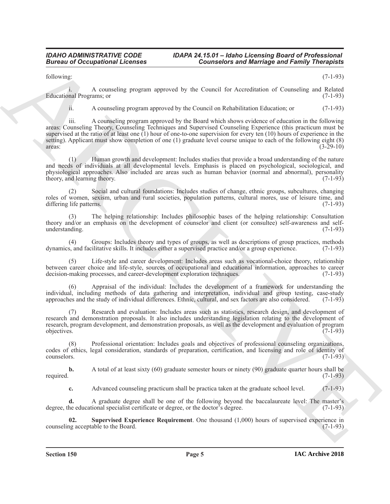following: (7-1-93)

i. A counseling program approved by the Council for Accreditation of Counseling and Related Educational Programs; or

ii. A counseling program approved by the Council on Rehabilitation Education; or (7-1-93)

**Example 4.6** Conceptions **Conserved by the Cause of Marchigh and Family Theorems**<br>
Education According progress approved by the Cause of According of Family Theorems<br>
Education According progress approved by the Cause of iii. A counseling program approved by the Board which shows evidence of education in the following areas: Counseling Theory, Counseling Techniques and Supervised Counseling Experience (this practicum must be supervised at the ratio of at least one (1) hour of one-to-one supervision for every ten (10) hours of experience in the setting). Applicant must show completion of one (1) graduate level course unique to each of the following eight (8) areas: (3-29-10)  $\frac{1}{3-29-10}$ 

(1) Human growth and development: Includes studies that provide a broad understanding of the nature and needs of individuals at all developmental levels. Emphasis is placed on psychological, sociological, and physiological approaches. Also included are areas such as human behavior (normal and abnormal), personality theory, and learning theory. (7-1-93) theory, and learning theory.

(2) Social and cultural foundations: Includes studies of change, ethnic groups, subcultures, changing roles of women, sexism, urban and rural societies, population patterns, cultural mores, use of leisure time, and differing life patterns. (7-1-93)

(3) The helping relationship: Includes philosophic bases of the helping relationship: Consultation theory and/or an emphasis on the development of counselor and client (or consultee) self-awareness and selfunderstanding. (7-1-93)

(4) Groups: Includes theory and types of groups, as well as descriptions of group practices, methods  $s$ , and facilitative skills. It includes either a supervised practice and/or a group experience. (7-1-93) dynamics, and facilitative skills. It includes either a supervised practice and/or a group experience.

Life-style and career development: Includes areas such as vocational-choice theory, relationship between career choice and life-style, sources of occupational and educational information, approaches to career decision-making processes, and career-development exploration techniques. (7-1-93)

(6) Appraisal of the individual: Includes the development of a framework for understanding the individual, including methods of data gathering and interpretation, individual and group testing, case-study approaches and the study of individual differences. Ethnic, cultural, and sex factors are also considered. (7-1-93)

(7) Research and evaluation: Includes areas such as statistics, research design, and development of research and demonstration proposals. It also includes understanding legislation relating to the development of research, program development, and demonstration proposals, as well as the development and evaluation of program objectives. (7-1-93)

(8) Professional orientation: Includes goals and objectives of professional counseling organizations, codes of ethics, legal consideration, standards of preparation, certification, and licensing and role of identity of counselors. (7-1-93)

**b.** A total of at least sixty (60) graduate semester hours or ninety (90) graduate quarter hours shall be required. (7-1-93)

<span id="page-4-0"></span>**c.** Advanced counseling practicum shall be practica taken at the graduate school level. (7-1-93)

**d.** A graduate degree shall be one of the following beyond the baccalaureate level: The master's degree, the educational specialist certificate or degree, or the doctor's degree. (7-1-93)

**02.** Supervised Experience Requirement. One thousand (1,000) hours of supervised experience in the Board. (7-1-93) counseling acceptable to the Board.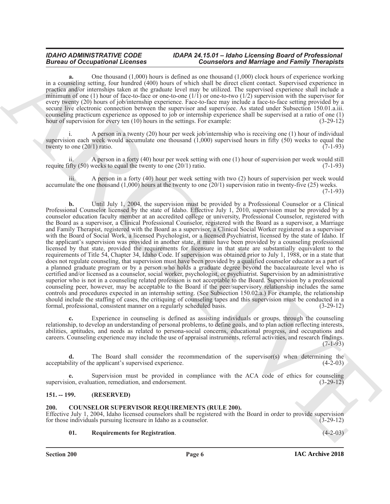### *IDAHO ADMINISTRATIVE CODE IDAPA 24.15.01 – Idaho Licensing Board of Professional Bureau of Occupational Licenses Counselors and Marriage and Family Therapists*

**a.** One thousand (1,000) hours is defined as one thousand (1,000) clock hours of experience working in a counseling setting, four hundred (400) hours of which shall be direct client contact. Supervised experience in practica and/or internships taken at the graduate level may be utilized. The supervised experience shall include a minimum of one (1) hour of face-to-face or one-to-one  $(1/1)$  or one-to-two  $(1/2)$  supervision with the supervisor for every twenty (20) hours of job/internship experience. Face-to-face may include a face-to-face setting provided by a secure live electronic connection between the supervisor and supervisee. As stated under Subsection 150.01.a.iii. counseling practicum experience as opposed to job or internship experience shall be supervised at a ratio of one (1) hour of supervision for every ten (10) hours in the settings. For example: (3-29-12)

A person in a twenty (20) hour per week job/internship who is receiving one (1) hour of individual supervision each week would accumulate one thousand (1,000) supervised hours in fifty (50) weeks to equal the twenty to one  $(20/1)$  ratio.  $(7-1-93)$ 

A person in a forty  $(40)$  hour per week setting with one  $(1)$  hour of supervision per week would still require fifty  $(50)$  weeks to equal the twenty to one  $(20/1)$  ratio.  $(7-1-93)$ 

iii. A person in a forty (40) hour per week setting with two (2) hours of supervision per week would accumulate the one thousand  $(1,000)$  hours at the twenty to one  $(20/1)$  supervision ratio in twenty-five  $(25)$  weeks.  $(7-1-93)$ 

**Extreme to Constitution Constitution** Constitution Constitution Constitution Constitution Constitution Constitution Constitution Constitution Constitution Constitution Constitution Constitution Constitution Constitution **b.** Until July 1, 2004, the supervision must be provided by a Professional Counselor or a Clinical Professional Counselor licensed by the state of Idaho. Effective July 1, 2010, supervision must be provided by a counselor education faculty member at an accredited college or university, Professional Counselor, registered with the Board as a supervisor, a Clinical Professional Counselor, registered with the Board as a supervisor, a Marriage and Family Therapist, registered with the Board as a supervisor, a Clinical Social Worker registered as a supervisor with the Board of Social Work, a licensed Psychologist, or a licensed Psychiatrist, licensed by the state of Idaho. If the applicant's supervision was provided in another state, it must have been provided by a counseling professional licensed by that state, provided the requirements for licensure in that state are substantially equivalent to the requirements of Title 54, Chapter 34, Idaho Code. If supervision was obtained prior to July 1, 1988, or in a state that does not regulate counseling, that supervision must have been provided by a qualified counselor educator as a part of a planned graduate program or by a person who holds a graduate degree beyond the baccalaureate level who is certified and/or licensed as a counselor, social worker, psychologist, or psychiatrist. Supervision by an administrative superior who is not in a counseling related profession is not acceptable to the Board. Supervision by a professional counseling peer, however, may be acceptable to the Board if the peer/supervisory relationship includes the same controls and procedures expected in an internship setting. (See Subsection 150.02.a.) For example, the relationship should include the staffing of cases, the critiquing of counseling tapes and this supervision must be conducted in a formal, professional, consistent manner on a regularly scheduled basis. (3-29-12)

Experience in counseling is defined as assisting individuals or groups, through the counseling relationship, to develop an understanding of personal problems, to define goals, and to plan action reflecting interests, abilities, aptitudes, and needs as related to persona-social concerns, educational progress, and occupations and careers. Counseling experience may include the use of appraisal instruments, referral activities, and research findings. (7-1-93)

**d.** The Board shall consider the recommendation of the supervisor(s) when determining the ility of the applicant's supervised experience. (4-2-03) acceptability of the applicant's supervised experience.

**e.** Supervision must be provided in compliance with the ACA code of ethics for counseling supervision, evaluation, remediation, and endorsement. (3-29-12)

### <span id="page-5-0"></span>**151. -- 199. (RESERVED)**

### <span id="page-5-2"></span><span id="page-5-1"></span>**200. COUNSELOR SUPERVISOR REQUIREMENTS (RULE 200).**

Effective July 1, 2004, Idaho licensed counselors shall be registered with the Board in order to provide supervision for those individuals pursuing licensure in Idaho as a counselor. (3-29-12) for those individuals pursuing licensure in Idaho as a counselor.

### <span id="page-5-3"></span>**01. Requirements for Registration**. (4-2-03)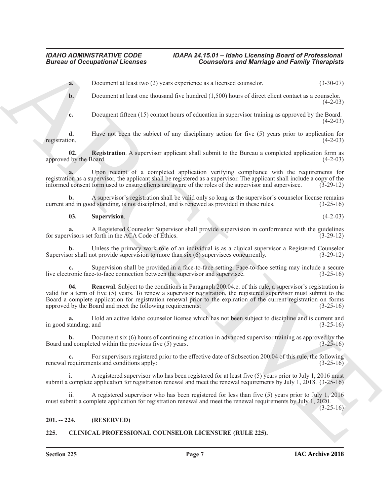## *IDAHO ADMINISTRATIVE CODE IDAPA 24.15.01 – Idaho Licensing Board of Professional*

## **Counselors and Marriage and Family Therapists**

**a.** Document at least two (2) years experience as a licensed counselor. (3-30-07)

**b.** Document at least one thousand five hundred (1,500) hours of direct client contact as a counselor.  $(4-2-03)$ 

<span id="page-6-3"></span>**c.** Document fifteen (15) contact hours of education in supervisor training as approved by the Board.  $(4-2-03)$ 

**d.** Have not been the subject of any disciplinary action for five (5) years prior to application for registration.  $(4-2-03)$ registration.  $(4-2-03)$ 

**02. Registration**. A supervisor applicant shall submit to the Bureau a completed application form as approved by the Board. (4-2-03)

**a.** Upon receipt of a completed application verifying compliance with the requirements for registration as a supervisor, the applicant shall be registered as a supervisor. The applicant shall include a copy of the informed consent form used to ensure clients are aware of the roles of the supervisor and supervisee. (3-29-12)

**b.** A supervisor's registration shall be valid only so long as the supervisor's counselor license remains current and in good standing, is not disciplined, and is renewed as provided in these rules. (3-25-16)

<span id="page-6-5"></span>**03. Supervision**. (4-2-03)

**a.** A Registered Counselor Supervisor shall provide supervision in conformance with the guidelines visors set forth in the ACA Code of Ethics. (3-29-12) for supervisors set forth in the ACA Code of Ethics.

**b.** Unless the primary work role of an individual is as a clinical supervisor a Registered Counselor or shall not provide supervision to more than six (6) supervises concurrently. (3-29-12) Supervisor shall not provide supervision to more than  $six$  (6) supervisees concurrently.

<span id="page-6-4"></span>**c.** Supervision shall be provided in a face-to-face setting. Face-to-face setting may include a secure live electronic face-to-face connection between the supervisor and supervisee. (3-25-16)

**Example 20**<br> **Example 20**<br> **Example 30**<br> **Example 30**<br> **Example 30**<br> **Example 30**<br> **Example 30**<br> **Example 30**<br> **Example 30**<br> **Example 30**<br> **Example 30**<br> **Example 30**<br> **Example 30**<br> **Example 30**<br> **Example 30**<br> **Example 30 04. Renewal**. Subject to the conditions in Paragraph 200.04.c. of this rule, a supervisor's registration is valid for a term of five (5) years. To renew a supervisor registration, the registered supervisor must submit to the Board a complete application for registration renewal prior to the expiration of the current registration on forms approved by the Board and meet the following requirements: (3-25-16)

**a.** Hold an active Idaho counselor license which has not been subject to discipline and is current and in good standing; and

**b.** Document six (6) hours of continuing education in advanced supervisor training as approved by the Board and completed within the previous five (5) years. (3-25-16)

**c.** For supervisors registered prior to the effective date of Subsection 200.04 of this rule, the following requirements and conditions apply:  $(3-25-16)$ renewal requirements and conditions apply:

A registered supervisor who has been registered for at least five (5) years prior to July 1, 2016 must submit a complete application for registration renewal and meet the renewal requirements by July 1, 2018. (3-25-16)

ii. A registered supervisor who has been registered for less than five (5) years prior to July 1, 2016 must submit a complete application for registration renewal and meet the renewal requirements by July 1, 2020.

 $(3-25-16)$ 

### <span id="page-6-0"></span>**201. -- 224. (RESERVED)**

### <span id="page-6-2"></span><span id="page-6-1"></span>**225. CLINICAL PROFESSIONAL COUNSELOR LICENSURE (RULE 225).**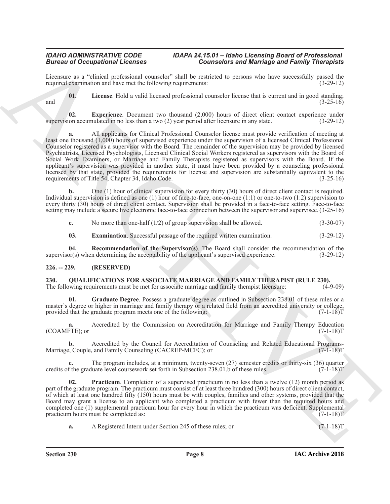Licensure as a "clinical professional counselor" shall be restricted to persons who have successfully passed the required examination and have met the following requirements:  $(3-29-12)$ required examination and have met the following requirements:

<span id="page-7-4"></span>**01. License**. Hold a valid licensed professional counselor license that is current and in good standing; and  $(3-25-16)$ 

<span id="page-7-3"></span>**02.** Experience. Document two thousand (2,000) hours of direct client contact experience under ion accumulated in no less than a two (2) year period after licensure in any state. (3-29-12) supervision accumulated in no less than a two  $(2)$  year period after licensure in any state.

**Example 20** Cocapability Licensins Considered Considered Metallity and Metallity and Finally Theoretical<br>
1. Licensin of the collection of the collection of the considered Metallity and the constraints of the constraints **a.** All applicants for Clinical Professional Counselor license must provide verification of meeting at least one thousand (1,000) hours of supervised experience under the supervision of a licensed Clinical Professional Counselor registered as a supervisor with the Board. The remainder of the supervision may be provided by licensed Psychiatrists, Licensed Psychologists, Licensed Clinical Social Workers registered as supervisors with the Board of Social Work Examiners, or Marriage and Family Therapists registered as supervisors with the Board. If the applicant's supervision was provided in another state, it must have been provided by a counseling professional licensed by that state, provided the requirements for license and supervision are substantially equivalent to the requirements of Title 54, Chapter 34, Idaho Code. (3-25-16) requirements of Title 54, Chapter 34, Idaho Code.

**b.** One (1) hour of clinical supervision for every thirty (30) hours of direct client contact is required. Individual supervision is defined as one (1) hour of face-to-face, one-on-one (1:1) or one-to-two (1:2) supervision to every thirty (30) hours of direct client contact. Supervision shall be provided in a face-to-face setting. Face-to-face setting may include a secure live electronic face-to-face connection between the supervisor and supervisee. (3-25-16)

**c.** No more than one-half (1/2) of group supervision shall be allowed. (3-30-07)

<span id="page-7-5"></span><span id="page-7-2"></span>**03. Examination**. Successful passage of the required written examination. (3-29-12)

**04. Recommendation of the Supervisor(s)**. The Board shall consider the recommendation of the supervisor(s) when determining the acceptability of the applicant's supervised experience. (3-29-12)

### <span id="page-7-0"></span>**226. -- 229. (RESERVED)**

<span id="page-7-6"></span><span id="page-7-1"></span>**230. QUALIFICATIONS FOR ASSOCIATE MARRIAGE AND FAMILY THERAPIST (RULE 230).**<br>The following requirements must be met for associate marriage and family therapist licensure: (4-9-09) The following requirements must be met for associate marriage and family therapist licensure:

<span id="page-7-7"></span>**01. Graduate Degree**. Possess a graduate degree as outlined in Subsection 238.01 of these rules or a master's degree or higher in marriage and family therapy or a related field from an accredited university or college, provided that the graduate program meets one of the following: (7-1-18)T

**a.** Accredited by the Commission on Accreditation for Marriage and Family Therapy Education  $(COAMFTE)$ ; or  $(7-1-18)T$ 

**b.** Accredited by the Council for Accreditation of Counseling and Related Educational Programs-<br>
e. Counle, and Family Counseling (CACREP-MCFC); or (7-1-18) Marriage, Couple, and Family Counseling (CACREP-MCFC); or

**c.** The program includes, at a minimum, twenty-seven (27) semester credits or thirty-six (36) quarter credits of the graduate level coursework set forth in Subsection 238.01.b of these rules. (7-1-18)T

<span id="page-7-8"></span>**02. Practicum**. Completion of a supervised practicum in no less than a twelve (12) month period as part of the graduate program. The practicum must consist of at least three hundred (300) hours of direct client contact, of which at least one hundred fifty (150) hours must be with couples, families and other systems, provided that the Board may grant a license to an applicant who completed a practicum with fewer than the required hours and completed one (1) supplemental practicum hour for every hour in which the practicum was deficient. Supplemental practicum hours must be completed as:  $(7-1-18)$ T

**a.** A Registered Intern under Section 245 of these rules; or (7-1-18)T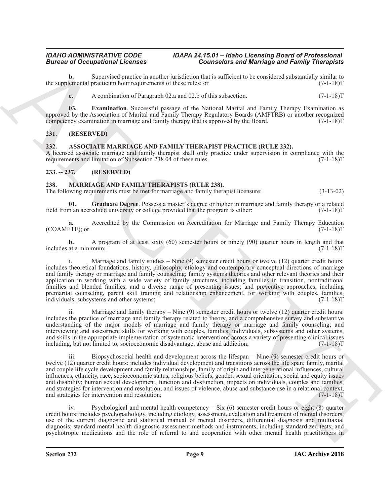**b.** Supervised practice in another jurisdiction that is sufficient to be considered substantially similar to emental practicum hour requirements of these rules: or the supplemental practicum hour requirements of these rules; or

<span id="page-8-7"></span>**c.** A combination of Paragraph 02.a and 02.b of this subsection.  $(7-1-18)$ T

**03. Examination**. Successful passage of the National Marital and Family Therapy Examination as approved by the Association of Marital and Family Therapy Regulatory Boards (AMFTRB) or another recognized competency examination in marriage and family therapy that is approved by the Board.  $(7\text{-}1\text{-}18)T$ 

### <span id="page-8-0"></span>**231. (RESERVED)**

### <span id="page-8-4"></span><span id="page-8-1"></span>**232. ASSOCIATE MARRIAGE AND FAMILY THERAPIST PRACTICE (RULE 232).**

A licensed associate marriage and family therapist shall only practice under supervision in compliance with the requirements and limitation of Subsection 238.04 of these rules. (7-1-18)T

### <span id="page-8-2"></span>**233. -- 237. (RESERVED)**

### <span id="page-8-5"></span><span id="page-8-3"></span>**238. MARRIAGE AND FAMILY THERAPISTS (RULE 238).**

The following requirements must be met for marriage and family therapist licensure: (3-13-02)

<span id="page-8-6"></span>**01. Graduate Degree**. Possess a master's degree or higher in marriage and family therapy or a related field from an accredited university or college provided that the program is either:

**a.** Accredited by the Commission on Accreditation for Marriage and Family Therapy Education  $(COAMFTE)$ ; or  $(7-1-18)T$ 

**b.** A program of at least sixty (60) semester hours or ninety (90) quarter hours in length and that includes at a minimum: (7-1-18)T

Bureau of Occupation of Lemma and the state of the connection and Marriago and Family Theoretical<br>
According to the state of the state of the state of the state of the state of the state of the state of the state of the s Marriage and family studies  $-$  Nine (9) semester credit hours or twelve (12) quarter credit hours: includes theoretical foundations, history, philosophy, etiology and contemporary conceptual directions of marriage and family therapy or marriage and family counseling; family systems theories and other relevant theories and their application in working with a wide variety of family structures, including families in transition, nontraditional families and blended families, and a diverse range of presenting issues; and preventive approaches, including premarital counseling, parent skill training and relationship enhancement, for working with couples, families, individuals, subsystems and other systems; (7-1-18)T

ii. Marriage and family therapy  $-$  Nine  $(9)$  semester credit hours or twelve  $(12)$  quarter credit hours: includes the practice of marriage and family therapy related to theory, and a comprehensive survey and substantive understanding of the major models of marriage and family therapy or marriage and family counseling; and interviewing and assessment skills for working with couples, families, individuals, subsystems and other systems, and skills in the appropriate implementation of systematic interventions across a variety of presenting clinical issues including, but not limited to, socioeconomic disadvantage, abuse and addiction; (7-1-18)T

iii. Biopsychosocial health and development across the lifespan – Nine (9) semester credit hours or twelve (12) quarter credit hours: includes individual development and transitions across the life span; family, marital and couple life cycle development and family relationships, family of origin and intergenerational influences, cultural influences, ethnicity, race, socioeconomic status, religious beliefs, gender, sexual orientation, social and equity issues and disability; human sexual development, function and dysfunction, impacts on individuals, couples and families, and strategies for intervention and resolution; and issues of violence, abuse and substance use in a relational context, and strategies for intervention and resolution; (7-1-18)T

iv. Psychological and mental health competency – Six (6) semester credit hours or eight (8) quarter credit hours: includes psychopathology, including etiology, assessment, evaluation and treatment of mental disorders, use of the current diagnostic and statistical manual of mental disorders, differential diagnosis and multiaxial diagnosis; standard mental health diagnostic assessment methods and instruments, including standardized tests; and psychotropic medications and the role of referral to and cooperation with other mental health practitioners in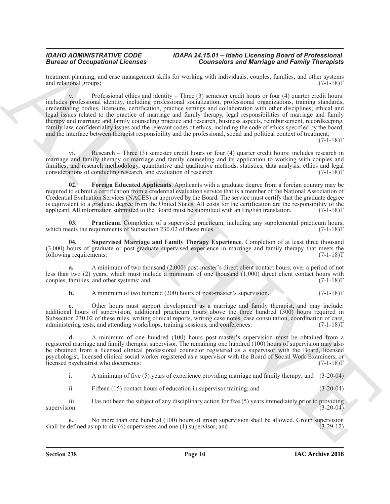treatment planning, and case management skills for working with individuals, couples, families, and other systems and relational groups: (7-1-18) and relational groups;

**Example the contribution of the contribution** of the environmental technique in the state of *F* and *Example 10* and *Example 10* and *Example 10* and *Example 10* and *Example 10* and *Example 10* and *Example 10* and v. Professional ethics and identity – Three  $(3)$  semester credit hours or four  $(4)$  quarter credit hours: includes professional identity, including professional socialization, professional organizations, training standards, credentialing bodies, licensure, certification, practice settings and collaboration with other disciplines; ethical and legal issues related to the practice of marriage and family therapy, legal responsibilities of marriage and family therapy and marriage and family counseling practice and research, business aspects, reimbursement, recordkeeping, family law, confidentiality issues and the relevant codes of ethics, including the code of ethics specified by the board; and the interface between therapist responsibility and the professional, social and political context of treatment;

 $(7-1-18)T$ 

vi. Research – Three (3) semester credit hours or four (4) quarter credit hours: includes research in marriage and family therapy or marriage and family counseling and its application to working with couples and families; and research methodology, quantitative and qualitative methods, statistics, data analysis, ethics and legal considerations of conducting research, and evaluation of research. (7-1-18) considerations of conducting research, and evaluation of research.

<span id="page-9-0"></span>**02. Foreign Educated Applicants**. Applicants with a graduate degree from a foreign country may be required to submit a certification from a credential evaluation service that is a member of the National Association of Credential Evaluation Services (NACES) or approved by the Board. The service must certify that the graduate degree is equivalent to a graduate degree from the United States. All costs for the certification are the responsibility of the applicant. All information submitted to the Board must be submitted with an English translation.  $(7$ applicant. All information submitted to the Board must be submitted with an English translation.

<span id="page-9-1"></span>**03. Practicum**. Completion of a supervised practicum, including any supplemental practicum hours, which meets the requirements of Subsection 230.02 of these rules. (7-1-18)T

<span id="page-9-2"></span>**04. Supervised Marriage and Family Therapy Experience**. Completion of at least three thousand  $(3,000)$  hours of graduate or post-graduate supervised experience in marriage and family therapy that meets the following requirements:  $(7-1-18)T$ following requirements:

**a.** A minimum of two thousand (2,000) post-master's direct client contact hours, over a period of not less than two (2) years, which must include a minimum of one thousand (1,000) direct client contact hours with couples, families, and other systems; and (7-1-18)T

**b.** A minimum of two hundred (200) hours of post-master's supervision. (7-1-18)

**c.** Other hours must support development as a marriage and family therapist, and may include: additional hours of supervision, additional practicum hours above the three hundred (300) hours required in Subsection 230.02 of these rules, writing clinical reports, writing case notes, case consultation, coordination of care, administering tests, and attending workshops, training sessions, and conferences. (7-1-18) administering tests, and attending workshops, training sessions, and conferences.

**d.** A minimum of one hundred (100) hours post-master's supervision must be obtained from a registered marriage and family therapist supervisor. The remaining one hundred (100) hours of supervision may also be obtained from a licensed clinical professional counselor registered as a supervisor with the Board, licensed psychologist, licensed clinical social worker registered as a supervisor with the Board of Social Work Examiners, or licensed psychiatrist who documents:

i. A minimum of five (5) years of experience providing marriage and family therapy; and (3-20-04)

ii. Fifteen (15) contact hours of education in supervisor training; and (3-20-04)

iii. Has not been the subject of any disciplinary action for five (5) years immediately prior to providing supervision.  $(3-20-04)$ 

**e.** No more than one hundred (100) hours of group supervision shall be allowed. Group supervision defined as up to six (6) supervisees and one (1) supervisor; and (3-29-12) shall be defined as up to six  $(6)$  supervisees and one  $(1)$  supervisor; and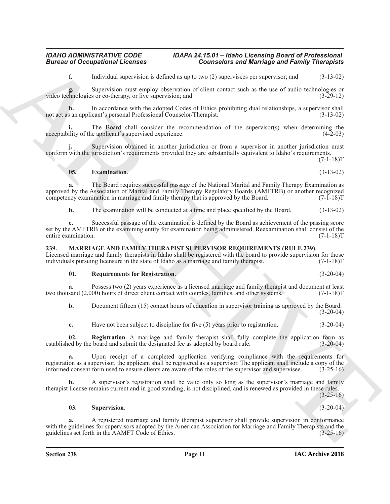**f.** Individual supervision is defined as up to two (2) supervisees per supervisor; and (3-13-02)

Supervision must employ observation of client contact such as the use of audio technologies or so r co-therapy, or live supervision; and (3-29-12) video technologies or co-therapy, or live supervision; and

**h.** In accordance with the adopted Codes of Ethics prohibiting dual relationships, a supervisor shall s an applicant's personal Professional Counselor/Therapist. (3-13-02) not act as an applicant's personal Professional Counselor/Therapist.

The Board shall consider the recommendation of the supervisor(s) when determining the acceptability of the applicant's supervised experience. (4-2-03)

Supervision obtained in another jurisdiction or from a supervisor in another jurisdiction must conform with the jurisdiction's requirements provided they are substantially equivalent to Idaho's requirements.

 $(7-1-18)T$ 

<span id="page-10-5"></span>**05. Examination**. (3-13-02)

**Example the system interest of the system star formulation** and *Resident Control of the system of the system interest and the system interest and the system of the system of the system of the system of the system of th* **a.** The Board requires successful passage of the National Marital and Family Therapy Examination as approved by the Association of Marital and Family Therapy Regulatory Boards (AMFTRB) or another recognized competency examination in marriage and family therapy that is approved by the Board. (7-1-18)T

**b.** The examination will be conducted at a time and place specified by the Board. (3-13-02)

**c.** Successful passage of the examination is defined by the Board as achievement of the passing score set by the AMFTRB or the examining entity for examination being administered. Reexamination shall consist of the entire examination. (7-1-18) entire examination.

### <span id="page-10-1"></span><span id="page-10-0"></span>**239. MARRIAGE AND FAMILY THERAPIST SUPERVISOR REQUIREMENTS (RULE 239).**

Licensed marriage and family therapists in Idaho shall be registered with the board to provide supervision for those individuals pursuing licensure in the state of Idaho as a marriage and family therapist. (7-1-18)T

### <span id="page-10-3"></span>**01. Requirements for Registration**. (3-20-04)

**a.** Possess two (2) years experience as a licensed marriage and family therapist and document at least sand (2,000) hours of direct client contact with couples, families, and other systems. (7-1-18) two thousand (2,000) hours of direct client contact with couples, families, and other systems.

**b.** Document fifteen (15) contact hours of education in supervisor training as approved by the Board.  $(3-20-04)$ 

<span id="page-10-2"></span>**c.** Have not been subject to discipline for five (5) years prior to registration. (3-20-04)

**02. Registration**. A marriage and family therapist shall fully complete the application form as established by the board and submit the designated fee as adopted by board rule. (3-20-04)

**a.** Upon receipt of a completed application verifying compliance with the requirements for registration as a supervisor, the applicant shall be registered as a supervisor. The applicant shall include a copy of the informed consent form used to ensure clients are aware of the roles of the supervisor and supervisee. (3-25-16)

**b.** A supervisor's registration shall be valid only so long as the supervisor's marriage and family therapist license remains current and in good standing, is not disciplined, and is renewed as provided in these rules.

(3-25-16)

### <span id="page-10-4"></span>**03. Supervision**. (3-20-04)

**a.** A registered marriage and family therapist supervisor shall provide supervision in conformance with the guidelines for supervisors adopted by the American Association for Marriage and Family Therapists and the guidelines set forth in the AAMFT Code of Ethics. (3-25-16)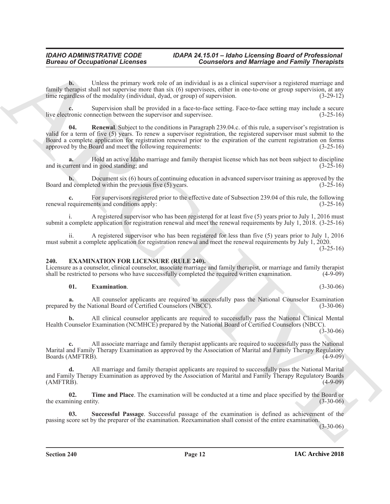**b.** Unless the primary work role of an individual is as a clinical supervisor a registered marriage and family therapist shall not supervise more than six (6) supervisees, either in one-to-one or group supervision, at any time regardless of the modality (individual, dyad, or group) of supervision. (3-29-12)

<span id="page-11-5"></span>Supervision shall be provided in a face-to-face setting. Face-to-face setting may include a secure inection between the supervisor and supervisee.  $(3-25-16)$ live electronic connection between the supervisor and supervisee.

**Example the contribution of the contribution**  $\frac{1}{2}$  Contribute to the contribution of the contribution of the contribution of the contribution of the contribution of the contribution of the contribution of the contri **04. Renewal**. Subject to the conditions in Paragraph 239.04.c. of this rule, a supervisor's registration is valid for a term of five (5) years. To renew a supervisor registration, the registered supervisor must submit to the Board a complete application for registration renewal prior to the expiration of the current registration on forms approved by the Board and meet the following requirements: (3-25-16)

**a.** Hold an active Idaho marriage and family therapist license which has not been subject to discipline and is current and in good standing; and  $(3-25-16)$ 

**b.** Document six (6) hours of continuing education in advanced supervisor training as approved by the d completed within the previous five (5) years.  $(3-25-16)$ Board and completed within the previous five  $(5)$  years.

For supervisors registered prior to the effective date of Subsection 239.04 of this rule, the following renewal requirements and conditions apply: (3-25-16)

i. A registered supervisor who has been registered for at least five (5) years prior to July 1, 2016 must submit a complete application for registration renewal and meet the renewal requirements by July 1, 2018. (3-25-16)

ii. A registered supervisor who has been registered for less than five (5) years prior to July 1, 2016 must submit a complete application for registration renewal and meet the renewal requirements by July 1, 2020.  $(3-25-16)$ 

### <span id="page-11-1"></span><span id="page-11-0"></span>**240. EXAMINATION FOR LICENSURE (RULE 240).**

Licensure as a counselor, clinical counselor, associate marriage and family therapist, or marriage and family therapist shall be restricted to persons who have successfully completed the required written examination. (4-9-09)

### <span id="page-11-2"></span>**01. Examination**. (3-30-06)

**a.** All counselor applicants are required to successfully pass the National Counselor Examination prepared by the National Board of Certified Counselors (NBCC). (3-30-06)

**b.** All clinical counselor applicants are required to successfully pass the National Clinical Mental Health Counselor Examination (NCMHCE) prepared by the National Board of Certified Counselors (NBCC).  $(3-30-06)$ 

**c.** All associate marriage and family therapist applicants are required to successfully pass the National Marital and Family Therapy Examination as approved by the Association of Marital and Family Therapy Regulatory Boards (AMFTRB). (4-9-09)

**d.** All marriage and family therapist applicants are required to successfully pass the National Marital and Family Therapy Examination as approved by the Association of Marital and Family Therapy Regulatory Boards (AMFTRB). (4-9-09)

<span id="page-11-4"></span>**02. Time and Place**. The examination will be conducted at a time and place specified by the Board or the examining entity. (3-30-06) (3-30-06)

<span id="page-11-3"></span>**03. Successful Passage**. Successful passage of the examination is defined as achievement of the passing score set by the preparer of the examination. Reexamination shall consist of the entire examination.

 $(3-30-06)$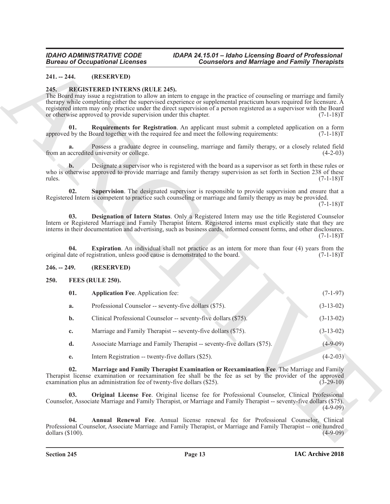### <span id="page-12-0"></span>**241. -- 244. (RESERVED)**

### <span id="page-12-12"></span><span id="page-12-9"></span><span id="page-12-1"></span>**245. REGISTERED INTERNS (RULE 245).**

### <span id="page-12-13"></span><span id="page-12-11"></span><span id="page-12-10"></span><span id="page-12-2"></span>**246. -- 249. (RESERVED)**

### <span id="page-12-6"></span><span id="page-12-4"></span><span id="page-12-3"></span>**250. FEES (RULE 250).**

| <b>Bureau of Occupational Licenses</b>                                                                                                                                                                                                                                                                                                                                                                                                                                                                    |                                                                                | <b>Counselors and Marriage and Family Therapists</b>                                                                                                                                                                                                                                                                                         |             |  |
|-----------------------------------------------------------------------------------------------------------------------------------------------------------------------------------------------------------------------------------------------------------------------------------------------------------------------------------------------------------------------------------------------------------------------------------------------------------------------------------------------------------|--------------------------------------------------------------------------------|----------------------------------------------------------------------------------------------------------------------------------------------------------------------------------------------------------------------------------------------------------------------------------------------------------------------------------------------|-------------|--|
| $241. - 244.$                                                                                                                                                                                                                                                                                                                                                                                                                                                                                             | (RESERVED)                                                                     |                                                                                                                                                                                                                                                                                                                                              |             |  |
| 245.<br><b>REGISTERED INTERNS (RULE 245).</b><br>The Board may issue a registration to allow an intern to engage in the practice of counseling or marriage and family<br>therapy while completing either the supervised experience or supplemental practicum hours required for licensure. A<br>registered intern may only practice under the direct supervision of a person registered as a supervisor with the Board<br>or otherwise approved to provide supervision under this chapter.<br>$(7-1-18)T$ |                                                                                |                                                                                                                                                                                                                                                                                                                                              |             |  |
| 01.                                                                                                                                                                                                                                                                                                                                                                                                                                                                                                       |                                                                                | Requirements for Registration. An applicant must submit a completed application on a form<br>approved by the Board together with the required fee and meet the following requirements:                                                                                                                                                       | $(7-1-18)T$ |  |
| a.                                                                                                                                                                                                                                                                                                                                                                                                                                                                                                        | from an accredited university or college.                                      | Possess a graduate degree in counseling, marriage and family therapy, or a closely related field                                                                                                                                                                                                                                             | $(4-2-03)$  |  |
| b.<br>rules.                                                                                                                                                                                                                                                                                                                                                                                                                                                                                              |                                                                                | Designate a supervisor who is registered with the board as a supervisor as set forth in these rules or<br>who is otherwise approved to provide marriage and family therapy supervision as set forth in Section 238 of these                                                                                                                  | $(7-1-18)T$ |  |
| 02.                                                                                                                                                                                                                                                                                                                                                                                                                                                                                                       |                                                                                | Supervision. The designated supervisor is responsible to provide supervision and ensure that a<br>Registered Intern is competent to practice such counseling or marriage and family therapy as may be provided.                                                                                                                              | $(7-1-18)T$ |  |
| 03.                                                                                                                                                                                                                                                                                                                                                                                                                                                                                                       |                                                                                | Designation of Intern Status. Only a Registered Intern may use the title Registered Counselor<br>Intern or Registered Marriage and Family Therapist Intern. Registered interns must explicitly state that they are<br>interns in their documentation and advertising, such as business cards, informed consent forms, and other disclosures. | $(7-1-18)T$ |  |
| 04.                                                                                                                                                                                                                                                                                                                                                                                                                                                                                                       | original date of registration, unless good cause is demonstrated to the board. | <b>Expiration.</b> An individual shall not practice as an intern for more than four (4) years from the                                                                                                                                                                                                                                       | $(7-1-18)T$ |  |
| $246. - 249.$                                                                                                                                                                                                                                                                                                                                                                                                                                                                                             | (RESERVED)                                                                     |                                                                                                                                                                                                                                                                                                                                              |             |  |
| 250.<br>FEES (RULE 250).                                                                                                                                                                                                                                                                                                                                                                                                                                                                                  |                                                                                |                                                                                                                                                                                                                                                                                                                                              |             |  |
| 01.                                                                                                                                                                                                                                                                                                                                                                                                                                                                                                       | <b>Application Fee. Application fee:</b>                                       |                                                                                                                                                                                                                                                                                                                                              | $(7-1-97)$  |  |
| a.                                                                                                                                                                                                                                                                                                                                                                                                                                                                                                        | Professional Counselor -- seventy-five dollars (\$75).                         |                                                                                                                                                                                                                                                                                                                                              | $(3-13-02)$ |  |
| $\mathbf{b}$ .                                                                                                                                                                                                                                                                                                                                                                                                                                                                                            | Clinical Professional Counselor -- seventy-five dollars (\$75).                |                                                                                                                                                                                                                                                                                                                                              | $(3-13-02)$ |  |
| c.                                                                                                                                                                                                                                                                                                                                                                                                                                                                                                        | Marriage and Family Therapist -- seventy-five dollars (\$75).                  |                                                                                                                                                                                                                                                                                                                                              | $(3-13-02)$ |  |
| d.                                                                                                                                                                                                                                                                                                                                                                                                                                                                                                        |                                                                                | Associate Marriage and Family Therapist -- seventy-five dollars (\$75).                                                                                                                                                                                                                                                                      | $(4-9-09)$  |  |
| e.                                                                                                                                                                                                                                                                                                                                                                                                                                                                                                        | Intern Registration -- twenty-five dollars (\$25).                             |                                                                                                                                                                                                                                                                                                                                              | $(4-2-03)$  |  |
| 02.                                                                                                                                                                                                                                                                                                                                                                                                                                                                                                       | examination plus an administration fee of twenty-five dollars (\$25).          | Marriage and Family Therapist Examination or Reexamination Fee. The Marriage and Family<br>Therapist license examination or reexamination fee shall be the fee as set by the provider of the approved                                                                                                                                        | $(3-29-10)$ |  |
| 03.                                                                                                                                                                                                                                                                                                                                                                                                                                                                                                       |                                                                                | Original License Fee. Original license fee for Professional Counselor, Clinical Professional<br>Counselor, Associate Marriage and Family Therapist, or Marriage and Family Therapist -- seventy-five dollars (\$75).                                                                                                                         | $(4-9-09)$  |  |
| 04.                                                                                                                                                                                                                                                                                                                                                                                                                                                                                                       |                                                                                | Annual Renewal Fee. Annual license renewal fee for Professional Counselor, Clinical<br>Professional Counselor, Associate Marriage and Family Therapist, or Marriage and Family Therapist -- one hundred                                                                                                                                      |             |  |

- **d.** Associate Marriage and Family Therapist -- seventy-five dollars (\$75). (4-9-09)
- <span id="page-12-8"></span><span id="page-12-7"></span><span id="page-12-5"></span>**e.** Intern Registration -- twenty-five dollars (\$25). (4-2-03)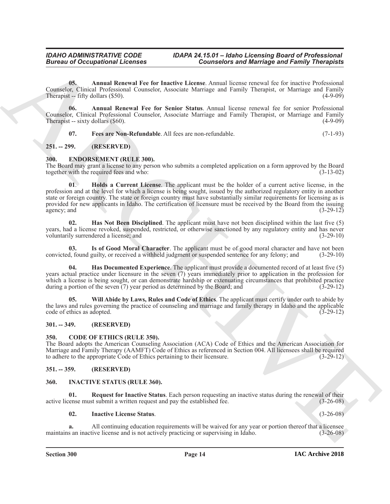<span id="page-13-13"></span>**05. Annual Renewal Fee for Inactive License**. Annual license renewal fee for inactive Professional Counselor, Clinical Professional Counselor, Associate Marriage and Family Therapist, or Marriage and Family Therapist  $-$  fifty dollars  $(\$50)$ .

**06. Annual Renewal Fee for Senior Status**. Annual license renewal fee for senior Professional Counselor, Clinical Professional Counselor, Associate Marriage and Family Therapist, or Marriage and Family Therapist -- sixty dollars  $(\$60)$ . (4-9-09)

<span id="page-13-15"></span><span id="page-13-14"></span><span id="page-13-7"></span>**07. Fees are Non-Refundable**. All fees are non-refundable. (7-1-93)

### <span id="page-13-0"></span>**251. -- 299. (RESERVED)**

### <span id="page-13-1"></span>**300. ENDORSEMENT (RULE 300).**

<span id="page-13-10"></span>The Board may grant a license to any person who submits a completed application on a form approved by the Board together with the required fees and who: (3-13-02) together with the required fees and who:

**Giving to Compatibinal Liberation**<br> **Contributed** Every Liberation Compatibition and Bernstein Compatibility (Figure 2) (Compatibility (Figure 2)<br>
Compatibility (Figure 2) (Figure 2) (Figure 2) (Figure 2) (Figure 2) (Fig **01**. **Holds a Current License**. The applicant must be the holder of a current active license, in the profession and at the level for which a license is being sought, issued by the authorized regulatory entity in another state or foreign country. The state or foreign country must have substantially similar requirements for licensing as is provided for new applicants in Idaho. The certification of licensure must be received by the Board from the issuing agency; and (3-29-12)  $a$ gency; and  $(3-29-12)$ 

<span id="page-13-9"></span>**02. Has Not Been Disciplined**. The applicant must have not been disciplined within the last five (5) years, had a license revoked, suspended, restricted, or otherwise sanctioned by any regulatory entity and has never voluntarily surrendered a license; and  $(3-29-10)$ voluntarily surrendered a license; and

<span id="page-13-11"></span>**Is of Good Moral Character**. The applicant must be of good moral character and have not been guilty, or received a withheld judgment or suspended sentence for any felony; and (3-29-10) convicted, found guilty, or received a withheld judgment or suspended sentence for any felony; and

<span id="page-13-8"></span>**Has Documented Experience**. The applicant must provide a documented record of at least five (5) years actual practice under licensure in the seven (7) years immediately prior to application in the profession for which a license is being sought, or can demonstrate hardship or extenuating circumstances that prohibited practice during a portion of the seven (7) year period as determined by the Board; and (3-29-12) during a portion of the seven  $(7)$  year period as determined by the Board; and

<span id="page-13-12"></span>**05. Will Abide by Laws, Rules and Code of Ethics**. The applicant must certify under oath to abide by the laws and rules governing the practice of counseling and marriage and family therapy in Idaho and the applicable code of ethics as adopted. (3-29-12)

### <span id="page-13-2"></span>**301. -- 349. (RESERVED)**

### <span id="page-13-6"></span><span id="page-13-3"></span>**350. CODE OF ETHICS (RULE 350).**

The Board adopts the American Counseling Association (ACA) Code of Ethics and the American Association for Marriage and Family Therapy (AAMFT) Code of Ethics as referenced in Section 004. All licensees shall be required to adhere to the appropriate Code of Ethics pertaining to their licensure. (3-29-12)

### <span id="page-13-4"></span>**351. -- 359. (RESERVED)**

### <span id="page-13-16"></span><span id="page-13-5"></span>**360. INACTIVE STATUS (RULE 360).**

**01. Request for Inactive Status**. Each person requesting an inactive status during the renewal of their active license must submit a written request and pay the established fee. (3-26-08)

### <span id="page-13-18"></span><span id="page-13-17"></span>**02. Inactive License Status**. (3-26-08)

**a.** All continuing education requirements will be waived for any year or portion thereof that a licensee maintains an inactive license and is not actively practicing or supervising in Idaho.  $(3-26-08)$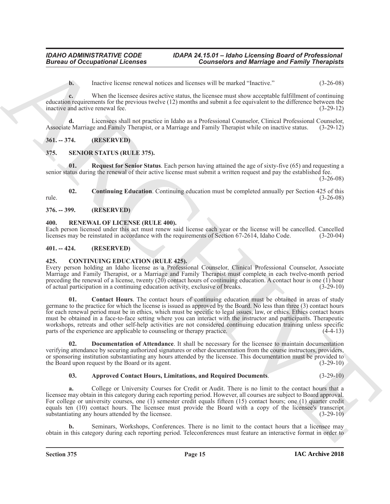**b.** Inactive license renewal notices and licenses will be marked "Inactive." (3-26-08)

**c.** When the licensee desires active status, the licensee must show acceptable fulfillment of continuing education requirements for the previous twelve (12) months and submit a fee equivalent to the difference between the inactive and active renewal fee. (3-29-12)

**d.** Licensees shall not practice in Idaho as a Professional Counselor, Clinical Professional Counselor, Associate Marriage and Family Therapist, or a Marriage and Family Therapist while on inactive status. (3-29-12)

### <span id="page-14-0"></span>**361. -- 374. (RESERVED)**

### <span id="page-14-11"></span><span id="page-14-1"></span>**375. SENIOR STATUS (RULE 375).**

<span id="page-14-13"></span>**01. Request for Senior Status**. Each person having attained the age of sixty-five (65) and requesting a senior status during the renewal of their active license must submit a written request and pay the established fee. (3-26-08)

<span id="page-14-12"></span>**02. Continuing Education**. Continuing education must be completed annually per Section 425 of this (3-26-08) rule. (3-26-08)

<span id="page-14-2"></span>**376. -- 399. (RESERVED)**

### <span id="page-14-10"></span><span id="page-14-3"></span>**400. RENEWAL OF LICENSE (RULE 400).**

Each person licensed under this act must renew said license each year or the license will be cancelled. Cancelled licenses may be reinstated in accordance with the requirements of Section 67-2614. Idaho Code. (3-20-04) licenses may be reinstated in accordance with the requirements of Section 67-2614, Idaho Code.

### <span id="page-14-4"></span>**401. -- 424. (RESERVED)**

### <span id="page-14-6"></span><span id="page-14-5"></span>**425. CONTINUING EDUCATION (RULE 425).**

<span id="page-14-8"></span>Every person holding an Idaho license as a Professional Counselor, Clinical Professional Counselor, Associate Marriage and Family Therapist, or a Marriage and Family Therapist must complete in each twelve-month period preceding the renewal of a license, twenty  $(20)$  contact hours of continuing education. A contact hour is one  $(1)$  hour of actual participation in a continuing education activity, exclusive of breaks. (3-29-10)

**Europe of Occupations I. February 2008**<br> **Convention stars and Marriage and Frame Convention and Republic Convention (2008)**<br>
ARCHIVENGENT CONVENTION (2008)<br> **Convention convention** of the procedure and solved the stars **01. Contact Hours**. The contact hours of continuing education must be obtained in areas of study germane to the practice for which the license is issued as approved by the Board. No less than three (3) contact hours for each renewal period must be in ethics, which must be specific to legal issues, law, or ethics. Ethics contact hours must be obtained in a face-to-face setting where you can interact with the instructor and participants. Therapeutic workshops, retreats and other self-help activities are not considered continuing education training unless specific parts of the experience are applicable to counseling or therapy practice. (4-4-13)

**02. Documentation of Attendance**. It shall be necessary for the licensee to maintain documentation verifying attendance by securing authorized signatures or other documentation from the course instructors, providers, or sponsoring institution substantiating any hours attended by the licensee. This documentation must be provided to the Board upon request by the Board or its agent. (3-29-10) the Board upon request by the Board or its agent.

### <span id="page-14-9"></span><span id="page-14-7"></span>**03. Approved Contact Hours, Limitations, and Required Documents**. (3-29-10)

**a.** College or University Courses for Credit or Audit. There is no limit to the contact hours that a licensee may obtain in this category during each reporting period. However, all courses are subject to Board approval. For college or university courses, one (1) semester credit equals fifteen (15) contact hours; one (1) quarter credit equals ten (10) contact hours. The licensee must provide the Board with a copy of the licensee's transcript substantiating any hours attended by the licensee. (3-29-10)

**b.** Seminars, Workshops, Conferences. There is no limit to the contact hours that a licensee may obtain in this category during each reporting period. Teleconferences must feature an interactive format in order to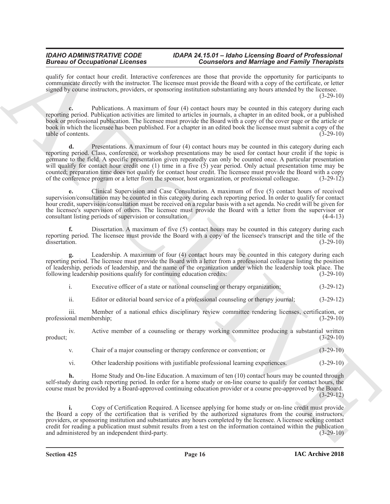qualify for contact hour credit. Interactive conferences are those that provide the opportunity for participants to communicate directly with the instructor. The licensee must provide the Board with a copy of the certificate, or letter signed by course instructors, providers, or sponsoring institution substantiating any hours attended by the licensee. (3-29-10)

**c.** Publications. A maximum of four (4) contact hours may be counted in this category during each reporting period. Publication activities are limited to articles in journals, a chapter in an edited book, or a published book or professional publication. The licensee must provide the Board with a copy of the cover page or the article or book in which the licensee has been published. For a chapter in an edited book the licensee must submit a copy of the table of contents. (3-29-10)

Branch of Occupation Hermann control in the signal method with the signal method with the signal method with the signal method with the signal method with the signal method with the signal method with the signal method wi **d.** Presentations. A maximum of four (4) contact hours may be counted in this category during each reporting period. Class, conference, or workshop presentations may be used for contact hour credit if the topic is germane to the field. A specific presentation given repeatedly can only be counted once. A particular presentation will qualify for contact hour credit one (1) time in a five (5) year period. Only actual presentation time may be counted; preparation time does not qualify for contact hour credit. The licensee must provide the Board with a copy of the conference program or a letter from the sponsor, host organization, or professional colleague. (3-2 of the conference program or a letter from the sponsor, host organization, or professional colleague.

**e.** Clinical Supervision and Case Consultation. A maximum of five (5) contact hours of received supervision/consultation may be counted in this category during each reporting period. In order to qualify for contact hour credit, supervision/consultation must be received on a regular basis with a set agenda. No credit will be given for the licensee's supervision of others. The licensee must provide the Board with a letter from the supervisor or consultant listing periods of supervision or consultation. (4-4-13) consultant listing periods of supervision or consultation.

**f.** Dissertation. A maximum of five (5) contact hours may be counted in this category during each reporting period. The licensee must provide the Board with a copy of the licensee's transcript and the title of the dissertation. (3-29-10)

**g.** Leadership. A maximum of four (4) contact hours may be counted in this category during each reporting period. The licensee must provide the Board with a letter from a professional colleague listing the position of leadership, periods of leadership, and the name of the organization under which the leadership took place. The following leadership positions qualify for continuing education credits: (3-29-10) following leadership positions qualify for continuing education credits:

i. Executive officer of a state or national counseling or therapy organization; (3-29-12)

ii. Editor or editorial board service of a professional counseling or therapy journal; (3-29-12)

iii. Member of a national ethics disciplinary review committee rendering licenses, certification, or professional membership; (3-29-10)

iv. Active member of a counseling or therapy working committee producing a substantial written product; (3-29-10)

v. Chair of a major counseling or therapy conference or convention; or (3-29-10)

vi. Other leadership positions with justifiable professional learning experiences. (3-29-10)

**h.** Home Study and On-line Education. A maximum of ten (10) contact hours may be counted through self-study during each reporting period. In order for a home study or on-line course to qualify for contact hours, the course must be provided by a Board-approved continuing education provider or a course pre-approved by the Board. (3-29-12)

**i.** Copy of Certification Required. A licensee applying for home study or on-line credit must provide the Board a copy of the certification that is verified by the authorized signatures from the course instructors, providers, or sponsoring institution and substantiates any hours completed by the licensee. A licensee seeking contact credit for reading a publication must submit results from a test on the information contained within the publication and administered by an independent third-party. (3-29-10) (3-29-10)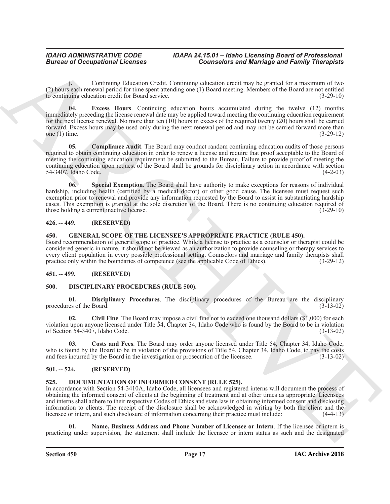<span id="page-16-7"></span>**j.** Continuing Education Credit. Continuing education credit may be granted for a maximum of two (2) hours each renewal period for time spent attending one (1) Board meeting. Members of the Board are not entitled to continuing education credit for Board service. (3-29-10)

**Example 20** Conceptions *Licensing* Contribution Contribution Contribution Contribution Conception Contribution Contribution Contribution Contribution Contribution Contribution Contribution Contribution Contribution Cont **04. Excess Hours**. Continuing education hours accumulated during the twelve (12) months immediately preceding the license renewal date may be applied toward meeting the continuing education requirement for the next license renewal. No more than ten  $(10)$  hours in excess of the required twenty  $(20)$  hours shall be carried forward. Excess hours may be used only during the next renewal period and may not be carried forward more than one (1) time.  $(3-29-12)$ 

<span id="page-16-6"></span>**05. Compliance Audit**. The Board may conduct random continuing education audits of those persons required to obtain continuing education in order to renew a license and require that proof acceptable to the Board of meeting the continuing education requirement be submitted to the Bureau. Failure to provide proof of meeting the continuing education upon request of the Board shall be grounds for disciplinary action in accordance with section 54-3407, Idaho Code. (4-2-03)

<span id="page-16-8"></span>**06. Special Exemption**. The Board shall have authority to make exceptions for reasons of individual hardship, including health (certified by a medical doctor) or other good cause. The licensee must request such exemption prior to renewal and provide any information requested by the Board to assist in substantiating hardship cases. This exemption is granted at the sole discretion of the Board. There is no continuing education required of those holding a current inactive license.

### <span id="page-16-0"></span>**426. -- 449. (RESERVED)**

### <span id="page-16-16"></span><span id="page-16-15"></span><span id="page-16-1"></span>**450. GENERAL SCOPE OF THE LICENSEE'S APPROPRIATE PRACTICE (RULE 450).**

Board recommendation of generic scope of practice. While a license to practice as a counselor or therapist could be considered generic in nature, it should not be viewed as an authorization to provide counseling or therapy services to every client population in every possible professional setting. Counselors and marriage and family therapists shall practice only within the boundaries of competence (see the applicable Code of Ethics). (3-29-12)

### <span id="page-16-2"></span>**451. -- 499. (RESERVED)**

### <span id="page-16-9"></span><span id="page-16-3"></span>**500. DISCIPLINARY PROCEDURES (RULE 500).**

<span id="page-16-12"></span>**01. Disciplinary Procedures**. The disciplinary procedures of the Bureau are the disciplinary procedures of the Board.

<span id="page-16-10"></span>**02. Civil Fine**. The Board may impose a civil fine not to exceed one thousand dollars (\$1,000) for each violation upon anyone licensed under Title 54, Chapter 34, Idaho Code who is found by the Board to be in violation of Section 54-3407, Idaho Code. (3-13-02)

<span id="page-16-11"></span>**03. Costs and Fees**. The Board may order anyone licensed under Title 54, Chapter 34, Idaho Code, who is found by the Board to be in violation of the provisions of Title 54, Chapter 34, Idaho Code, to pay the costs and fees incurred by the Board in the investigation or prosecution of the licensee. (3-13-02)

### <span id="page-16-4"></span>**501. -- 524. (RESERVED)**

### <span id="page-16-13"></span><span id="page-16-5"></span>**525. DOCUMENTATION OF INFORMED CONSENT (RULE 525).**

In accordance with Section 54-3410A, Idaho Code, all licensees and registered interns will document the process of obtaining the informed consent of clients at the beginning of treatment and at other times as appropriate. Licensees and interns shall adhere to their respective Codes of Ethics and state law in obtaining informed consent and disclosing information to clients. The receipt of the disclosure shall be acknowledged in writing by both the client and the licensee or intern, and such disclosure of information concerning their practice must include: (4-4-13)

<span id="page-16-14"></span>**01. Name, Business Address and Phone Number of Licensee or Intern**. If the licensee or intern is practicing under supervision, the statement shall include the licensee or intern status as such and the designated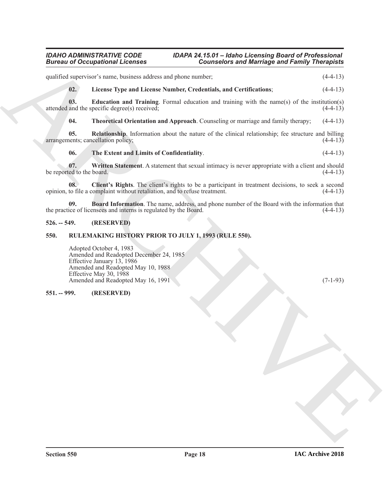<span id="page-17-6"></span><span id="page-17-5"></span>Given to Occupations I Leonards<br>
ventures and the set of the set of the set of the set of the set of the set of the set of the set of the set of the set of the set of the set of the set of the set of the set of the set of qualified supervisor's name, business address and phone number; (4-4-13) **02. License Type and License Number, Credentials, and Certifications**; (4-4-13) **03. Education and Training**. Formal education and training with the name(s) of the institution(s) attended and the specific degree(s) received; (4-4-13) **04. Theoretical Orientation and Approach**. Counseling or marriage and family therapy; (4-4-13) **05. Relationship**. Information about the nature of the clinical relationship; fee structure and billing nents; cancellation policy; (4-4-13) arrangements; cancellation policy; **06. The Extent and Limits of Confidentiality**. (4-4-13) **07.** Written Statement. A statement that sexual intimacy is never appropriate with a client and should be reported to the board.  $(4-4-13)$ **08. Client's Rights**. The client's rights to be a participant in treatment decisions, to seek a second opinion, to file a complaint without retaliation, and to refuse treatment. (4-4-13)

<span id="page-17-10"></span><span id="page-17-9"></span><span id="page-17-8"></span><span id="page-17-7"></span><span id="page-17-4"></span><span id="page-17-3"></span>**09. Board Information**. The name, address, and phone number of the Board with the information that ice of licensees and interns is regulated by the Board. (4-4-13) the practice of licensees and interns is regulated by the Board.

### <span id="page-17-0"></span>**526. -- 549. (RESERVED)**

### <span id="page-17-1"></span>**550. RULEMAKING HISTORY PRIOR TO JULY 1, 1993 (RULE 550).**

Adopted October 4, 1983 Amended and Readopted December 24, 1985 Effective January 13, 1986 Amended and Readopted May 10, 1988 Effective May 30, 1988 Amended and Readopted May 16, 1991 (7-1-93) (7-1-93)

### <span id="page-17-2"></span>**551. -- 999. (RESERVED)**